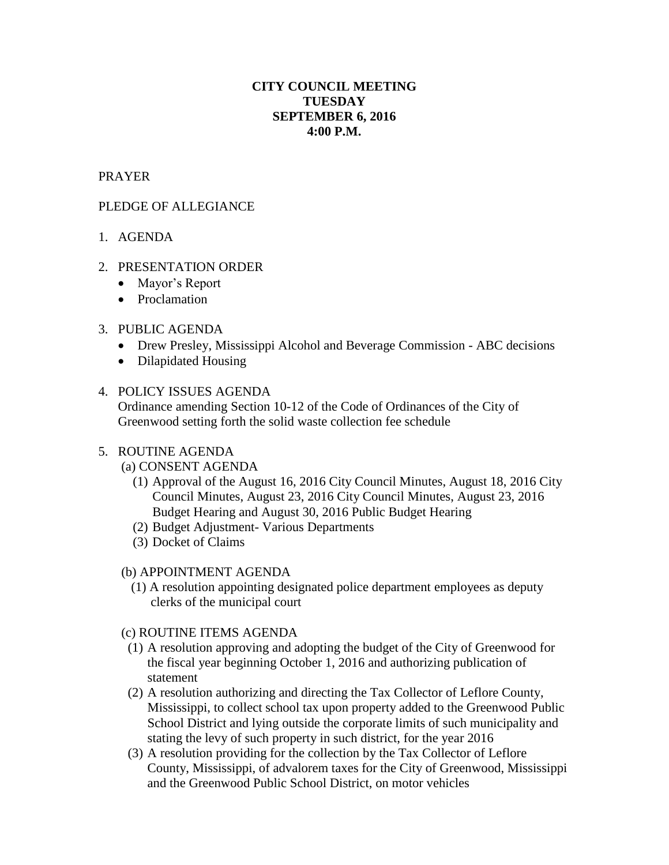# **CITY COUNCIL MEETING TUESDAY SEPTEMBER 6, 2016 4:00 P.M.**

# PRAYER

## PLEDGE OF ALLEGIANCE

## 1. AGENDA

#### 2. PRESENTATION ORDER

- Mayor's Report
- Proclamation

#### 3. PUBLIC AGENDA

- Drew Presley, Mississippi Alcohol and Beverage Commission ABC decisions
- Dilapidated Housing

#### 4. POLICY ISSUES AGENDA

Ordinance amending Section 10-12 of the Code of Ordinances of the City of Greenwood setting forth the solid waste collection fee schedule

#### 5. ROUTINE AGENDA

(a) CONSENT AGENDA

- (1) Approval of the August 16, 2016 City Council Minutes, August 18, 2016 City Council Minutes, August 23, 2016 City Council Minutes, August 23, 2016 Budget Hearing and August 30, 2016 Public Budget Hearing
- (2) Budget Adjustment- Various Departments
- (3) Docket of Claims

#### (b) APPOINTMENT AGENDA

 (1) A resolution appointing designated police department employees as deputy clerks of the municipal court

#### (c) ROUTINE ITEMS AGENDA

- (1) A resolution approving and adopting the budget of the City of Greenwood for the fiscal year beginning October 1, 2016 and authorizing publication of statement
- (2) A resolution authorizing and directing the Tax Collector of Leflore County, Mississippi, to collect school tax upon property added to the Greenwood Public School District and lying outside the corporate limits of such municipality and stating the levy of such property in such district, for the year 2016
- (3) A resolution providing for the collection by the Tax Collector of Leflore County, Mississippi, of advalorem taxes for the City of Greenwood, Mississippi and the Greenwood Public School District, on motor vehicles